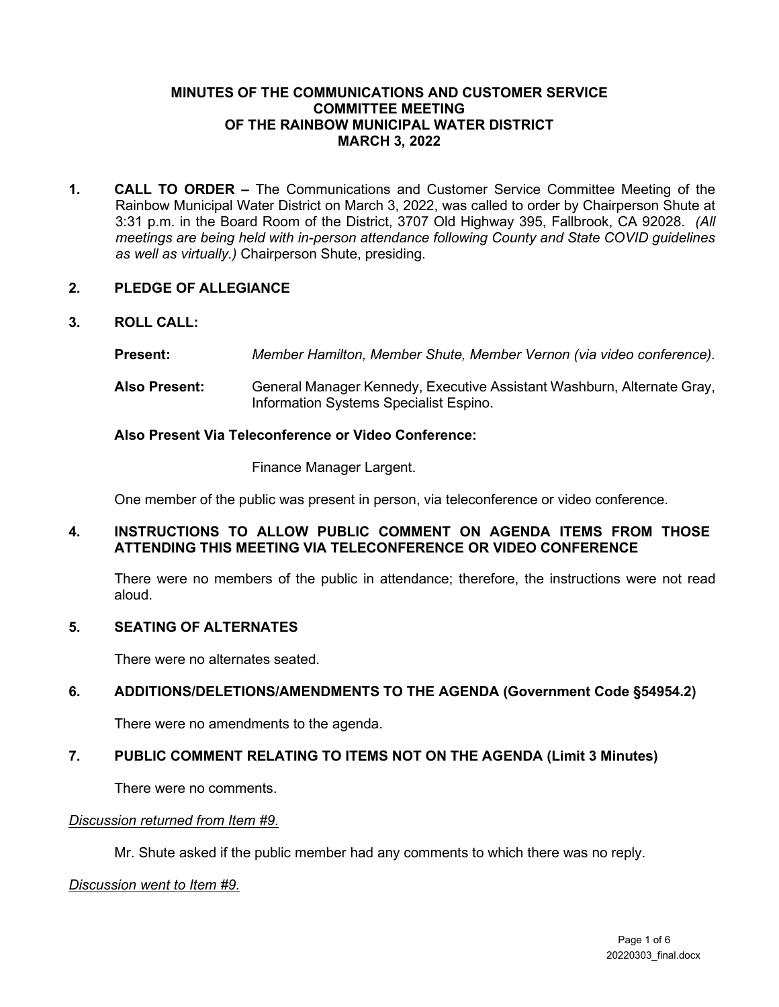## **MINUTES OF THE COMMUNICATIONS AND CUSTOMER SERVICE COMMITTEE MEETING OF THE RAINBOW MUNICIPAL WATER DISTRICT MARCH 3, 2022**

**1. CALL TO ORDER –** The Communications and Customer Service Committee Meeting of the Rainbow Municipal Water District on March 3, 2022, was called to order by Chairperson Shute at 3:31 p.m. in the Board Room of the District, 3707 Old Highway 395, Fallbrook, CA 92028. *(All meetings are being held with in-person attendance following County and State COVID guidelines as well as virtually.)* Chairperson Shute, presiding.

## **2. PLEDGE OF ALLEGIANCE**

## **3. ROLL CALL:**

- **Present:** *Member Hamilton, Member Shute, Member Vernon (via video conference).*
- **Also Present:** General Manager Kennedy, Executive Assistant Washburn, Alternate Gray, Information Systems Specialist Espino.

### **Also Present Via Teleconference or Video Conference:**

**Finance Manager Largent.** 

One member of the public was present in person, via teleconference or video conference.

#### **4. INSTRUCTIONS TO ALLOW PUBLIC COMMENT ON AGENDA ITEMS FROM THOSE ATTENDING THIS MEETING VIA TELECONFERENCE OR VIDEO CONFERENCE**

There were no members of the public in attendance; therefore, the instructions were not read aloud.

#### **5. SEATING OF ALTERNATES**

There were no alternates seated.

#### **6. ADDITIONS/DELETIONS/AMENDMENTS TO THE AGENDA (Government Code §54954.2)**

There were no amendments to the agenda.

#### **7. PUBLIC COMMENT RELATING TO ITEMS NOT ON THE AGENDA (Limit 3 Minutes)**

There were no comments.

#### *Discussion returned from Item #9.*

Mr. Shute asked if the public member had any comments to which there was no reply.

#### *Discussion went to Item #9.*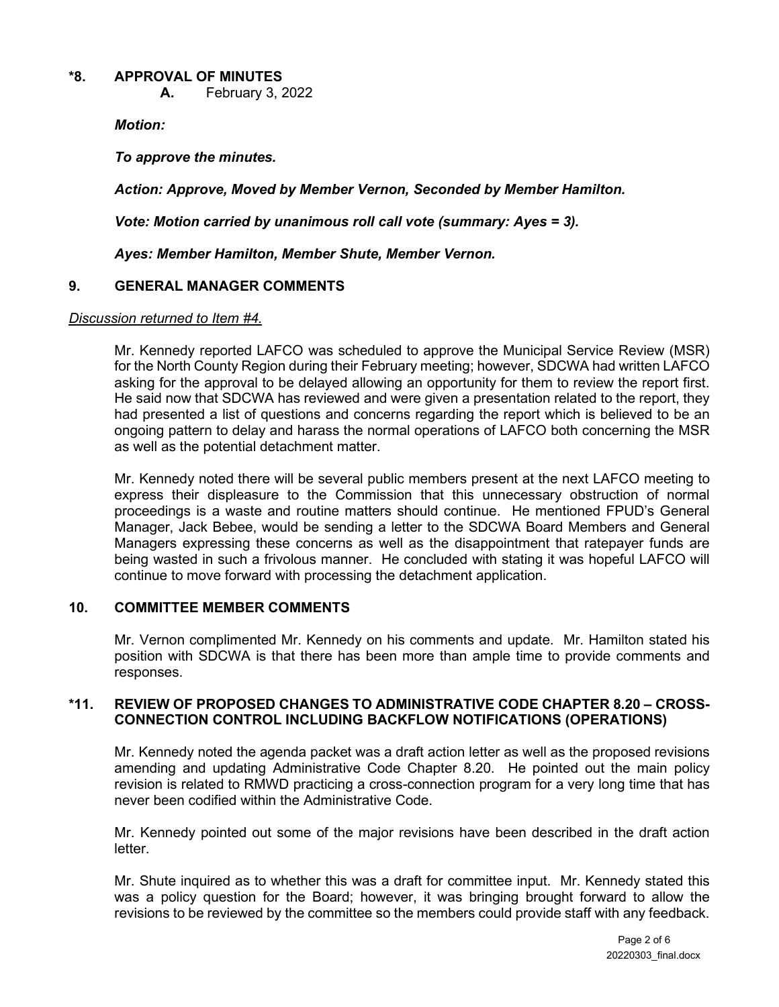### **\*8. APPROVAL OF MINUTES**

 **A.** February 3, 2022

*Motion:* 

*To approve the minutes.*

*Action: Approve, Moved by Member Vernon, Seconded by Member Hamilton.*

*Vote: Motion carried by unanimous roll call vote (summary: Ayes = 3).*

*Ayes: Member Hamilton, Member Shute, Member Vernon.*

## **9. GENERAL MANAGER COMMENTS**

#### *Discussion returned to Item #4.*

Mr. Kennedy reported LAFCO was scheduled to approve the Municipal Service Review (MSR) for the North County Region during their February meeting; however, SDCWA had written LAFCO asking for the approval to be delayed allowing an opportunity for them to review the report first. He said now that SDCWA has reviewed and were given a presentation related to the report, they had presented a list of questions and concerns regarding the report which is believed to be an ongoing pattern to delay and harass the normal operations of LAFCO both concerning the MSR as well as the potential detachment matter.

Mr. Kennedy noted there will be several public members present at the next LAFCO meeting to express their displeasure to the Commission that this unnecessary obstruction of normal proceedings is a waste and routine matters should continue. He mentioned FPUD's General Manager, Jack Bebee, would be sending a letter to the SDCWA Board Members and General Managers expressing these concerns as well as the disappointment that ratepayer funds are being wasted in such a frivolous manner. He concluded with stating it was hopeful LAFCO will continue to move forward with processing the detachment application.

#### **10. COMMITTEE MEMBER COMMENTS**

 Mr. Vernon complimented Mr. Kennedy on his comments and update. Mr. Hamilton stated his position with SDCWA is that there has been more than ample time to provide comments and responses.

#### **\*11. REVIEW OF PROPOSED CHANGES TO ADMINISTRATIVE CODE CHAPTER 8.20 – CROSS-CONNECTION CONTROL INCLUDING BACKFLOW NOTIFICATIONS (OPERATIONS)**

Mr. Kennedy noted the agenda packet was a draft action letter as well as the proposed revisions amending and updating Administrative Code Chapter 8.20. He pointed out the main policy revision is related to RMWD practicing a cross-connection program for a very long time that has never been codified within the Administrative Code.

Mr. Kennedy pointed out some of the major revisions have been described in the draft action letter.

Mr. Shute inquired as to whether this was a draft for committee input. Mr. Kennedy stated this was a policy question for the Board; however, it was bringing brought forward to allow the revisions to be reviewed by the committee so the members could provide staff with any feedback.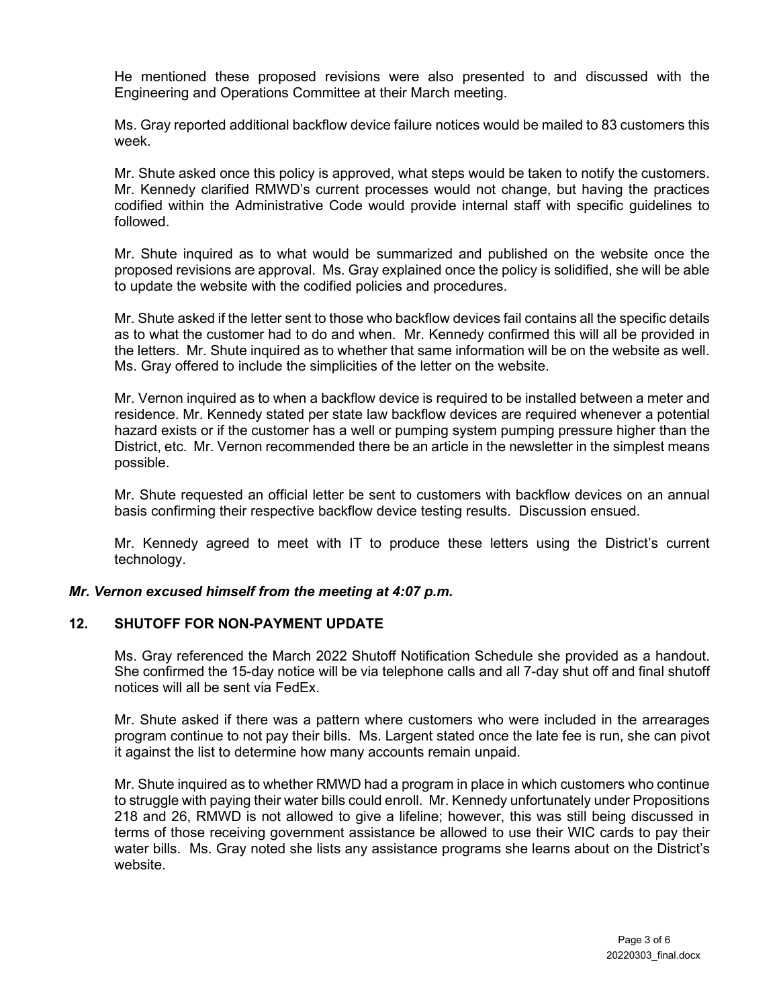He mentioned these proposed revisions were also presented to and discussed with the Engineering and Operations Committee at their March meeting.

Ms. Gray reported additional backflow device failure notices would be mailed to 83 customers this week.

Mr. Shute asked once this policy is approved, what steps would be taken to notify the customers. Mr. Kennedy clarified RMWD's current processes would not change, but having the practices codified within the Administrative Code would provide internal staff with specific guidelines to followed.

Mr. Shute inquired as to what would be summarized and published on the website once the proposed revisions are approval. Ms. Gray explained once the policy is solidified, she will be able to update the website with the codified policies and procedures.

Mr. Shute asked if the letter sent to those who backflow devices fail contains all the specific details as to what the customer had to do and when. Mr. Kennedy confirmed this will all be provided in the letters. Mr. Shute inquired as to whether that same information will be on the website as well. Ms. Gray offered to include the simplicities of the letter on the website.

Mr. Vernon inquired as to when a backflow device is required to be installed between a meter and residence. Mr. Kennedy stated per state law backflow devices are required whenever a potential hazard exists or if the customer has a well or pumping system pumping pressure higher than the District, etc. Mr. Vernon recommended there be an article in the newsletter in the simplest means possible.

Mr. Shute requested an official letter be sent to customers with backflow devices on an annual basis confirming their respective backflow device testing results. Discussion ensued.

Mr. Kennedy agreed to meet with IT to produce these letters using the District's current technology.

#### *Mr. Vernon excused himself from the meeting at 4:07 p.m.*

## **12. SHUTOFF FOR NON-PAYMENT UPDATE**

Ms. Gray referenced the March 2022 Shutoff Notification Schedule she provided as a handout. She confirmed the 15-day notice will be via telephone calls and all 7-day shut off and final shutoff notices will all be sent via FedEx.

Mr. Shute asked if there was a pattern where customers who were included in the arrearages program continue to not pay their bills. Ms. Largent stated once the late fee is run, she can pivot it against the list to determine how many accounts remain unpaid.

Mr. Shute inquired as to whether RMWD had a program in place in which customers who continue to struggle with paying their water bills could enroll. Mr. Kennedy unfortunately under Propositions 218 and 26, RMWD is not allowed to give a lifeline; however, this was still being discussed in terms of those receiving government assistance be allowed to use their WIC cards to pay their water bills. Ms. Gray noted she lists any assistance programs she learns about on the District's website.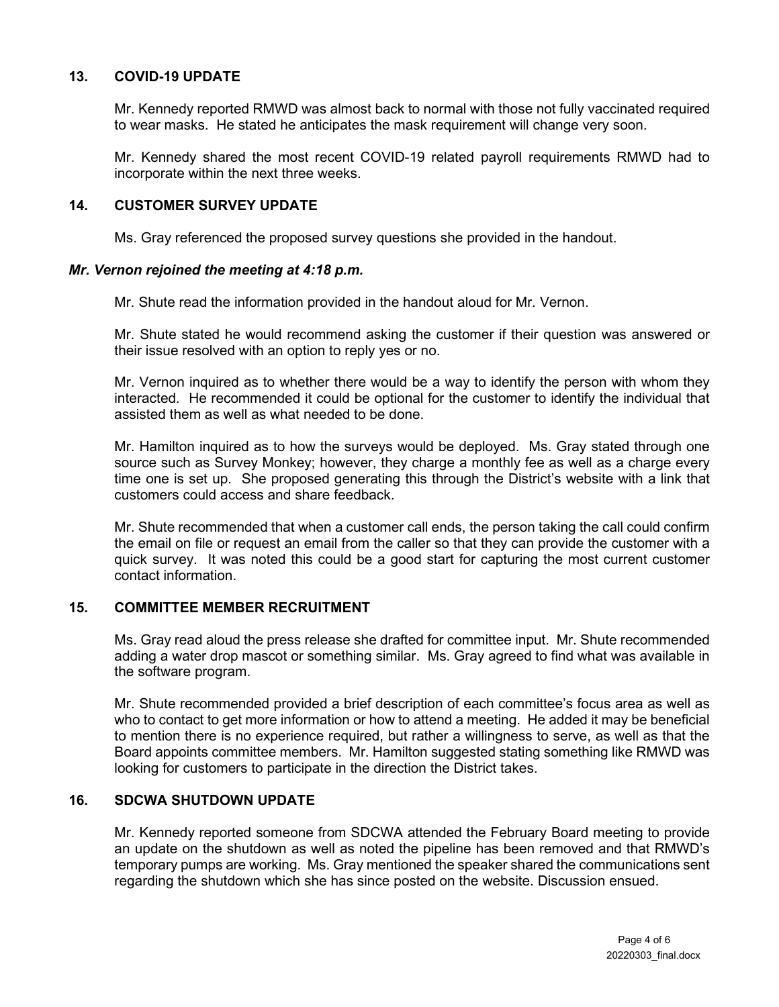## **13. COVID-19 UPDATE**

Mr. Kennedy reported RMWD was almost back to normal with those not fully vaccinated required to wear masks. He stated he anticipates the mask requirement will change very soon.

Mr. Kennedy shared the most recent COVID-19 related payroll requirements RMWD had to incorporate within the next three weeks.

#### **14. CUSTOMER SURVEY UPDATE**

Ms. Gray referenced the proposed survey questions she provided in the handout.

#### *Mr. Vernon rejoined the meeting at 4:18 p.m.*

Mr. Shute read the information provided in the handout aloud for Mr. Vernon.

Mr. Shute stated he would recommend asking the customer if their question was answered or their issue resolved with an option to reply yes or no.

Mr. Vernon inquired as to whether there would be a way to identify the person with whom they interacted. He recommended it could be optional for the customer to identify the individual that assisted them as well as what needed to be done.

Mr. Hamilton inquired as to how the surveys would be deployed. Ms. Gray stated through one source such as Survey Monkey; however, they charge a monthly fee as well as a charge every time one is set up. She proposed generating this through the District's website with a link that customers could access and share feedback.

Mr. Shute recommended that when a customer call ends, the person taking the call could confirm the email on file or request an email from the caller so that they can provide the customer with a quick survey. It was noted this could be a good start for capturing the most current customer contact information.

#### **15. COMMITTEE MEMBER RECRUITMENT**

Ms. Gray read aloud the press release she drafted for committee input. Mr. Shute recommended adding a water drop mascot or something similar. Ms. Gray agreed to find what was available in the software program.

Mr. Shute recommended provided a brief description of each committee's focus area as well as who to contact to get more information or how to attend a meeting. He added it may be beneficial to mention there is no experience required, but rather a willingness to serve, as well as that the Board appoints committee members. Mr. Hamilton suggested stating something like RMWD was looking for customers to participate in the direction the District takes.

### **16. SDCWA SHUTDOWN UPDATE**

Mr. Kennedy reported someone from SDCWA attended the February Board meeting to provide an update on the shutdown as well as noted the pipeline has been removed and that RMWD's temporary pumps are working. Ms. Gray mentioned the speaker shared the communications sent regarding the shutdown which she has since posted on the website. Discussion ensued.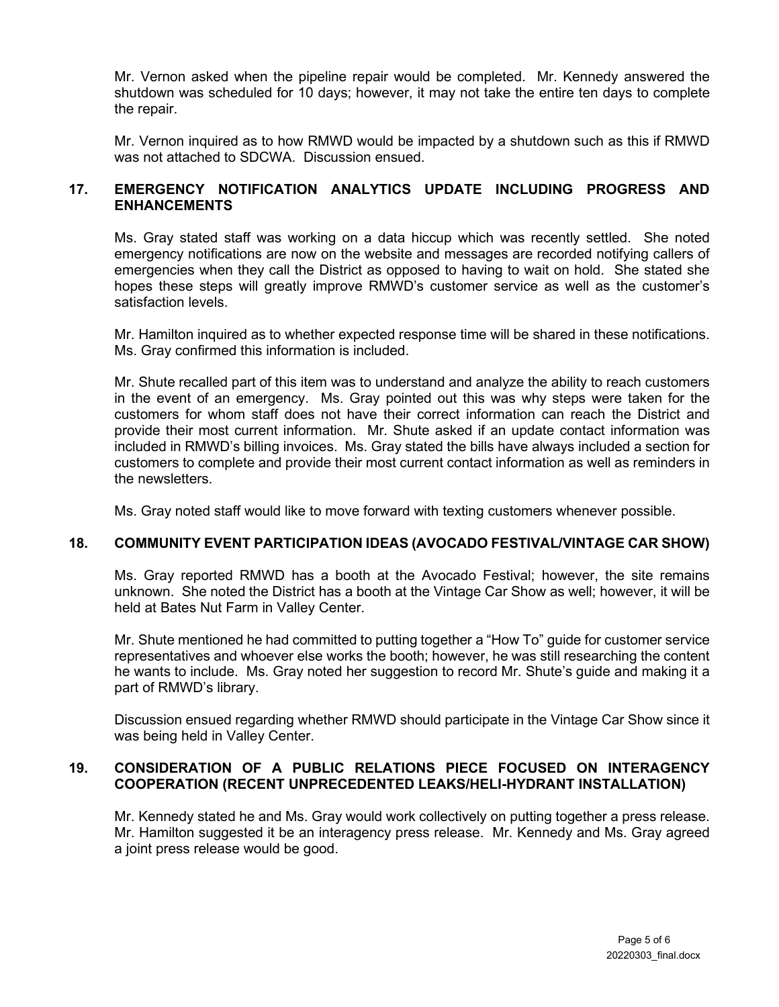Mr. Vernon asked when the pipeline repair would be completed. Mr. Kennedy answered the shutdown was scheduled for 10 days; however, it may not take the entire ten days to complete the repair.

Mr. Vernon inquired as to how RMWD would be impacted by a shutdown such as this if RMWD was not attached to SDCWA. Discussion ensued.

# **17. EMERGENCY NOTIFICATION ANALYTICS UPDATE INCLUDING PROGRESS AND ENHANCEMENTS**

Ms. Gray stated staff was working on a data hiccup which was recently settled. She noted emergency notifications are now on the website and messages are recorded notifying callers of emergencies when they call the District as opposed to having to wait on hold. She stated she hopes these steps will greatly improve RMWD's customer service as well as the customer's satisfaction levels.

Mr. Hamilton inquired as to whether expected response time will be shared in these notifications. Ms. Gray confirmed this information is included.

Mr. Shute recalled part of this item was to understand and analyze the ability to reach customers in the event of an emergency. Ms. Gray pointed out this was why steps were taken for the customers for whom staff does not have their correct information can reach the District and provide their most current information. Mr. Shute asked if an update contact information was included in RMWD's billing invoices. Ms. Gray stated the bills have always included a section for customers to complete and provide their most current contact information as well as reminders in the newsletters.

Ms. Gray noted staff would like to move forward with texting customers whenever possible.

#### **18. COMMUNITY EVENT PARTICIPATION IDEAS (AVOCADO FESTIVAL/VINTAGE CAR SHOW)**

Ms. Gray reported RMWD has a booth at the Avocado Festival; however, the site remains unknown. She noted the District has a booth at the Vintage Car Show as well; however, it will be held at Bates Nut Farm in Valley Center.

Mr. Shute mentioned he had committed to putting together a "How To" guide for customer service representatives and whoever else works the booth; however, he was still researching the content he wants to include. Ms. Gray noted her suggestion to record Mr. Shute's guide and making it a part of RMWD's library.

Discussion ensued regarding whether RMWD should participate in the Vintage Car Show since it was being held in Valley Center.

## **19. CONSIDERATION OF A PUBLIC RELATIONS PIECE FOCUSED ON INTERAGENCY COOPERATION (RECENT UNPRECEDENTED LEAKS/HELI-HYDRANT INSTALLATION)**

Mr. Kennedy stated he and Ms. Gray would work collectively on putting together a press release. Mr. Hamilton suggested it be an interagency press release. Mr. Kennedy and Ms. Gray agreed a joint press release would be good.